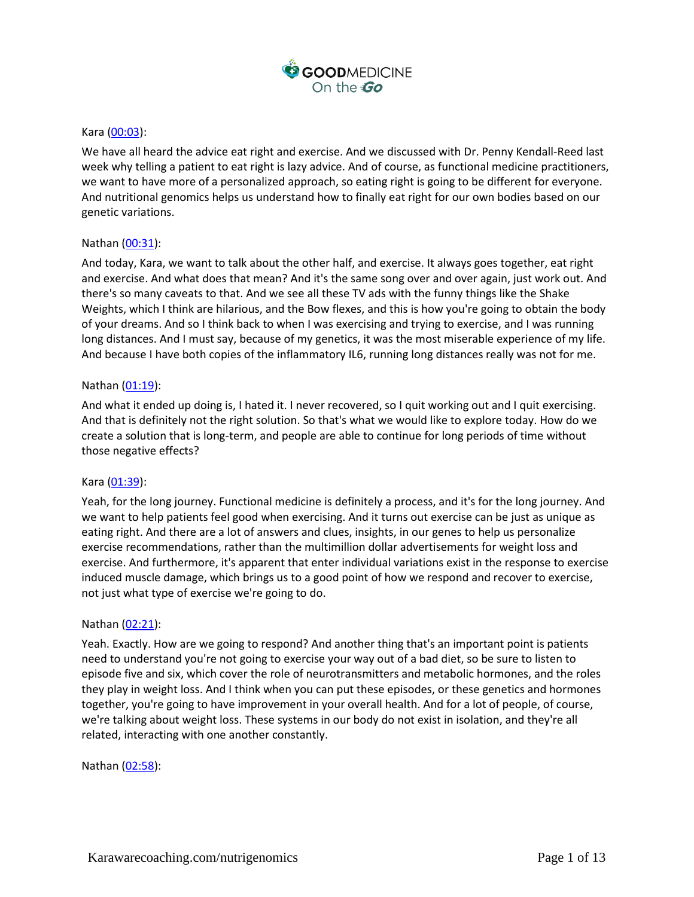

### Kara [\(00:03\)](https://www.rev.com/transcript-editor/Edit?token=x3Ch3v8rSCLUfef_29_7Lm6GCJezO4ka1tBJ5O7F4UA3ZQoCfXEtC_81Om8VkzflsIpFKC9mRnzZitMBiFIkSMWjQnI&loadFrom=DocumentDeeplink&ts=3.1):

We have all heard the advice eat right and exercise. And we discussed with Dr. Penny Kendall-Reed last week why telling a patient to eat right is lazy advice. And of course, as functional medicine practitioners, we want to have more of a personalized approach, so eating right is going to be different for everyone. And nutritional genomics helps us understand how to finally eat right for our own bodies based on our genetic variations.

### Nathan [\(00:31\)](https://www.rev.com/transcript-editor/Edit?token=wLuH2b7hwi6ZO2ysFb_d9Rpkw4I5jJQyfGT_ACoRywcvtOgZbYhhdl9ngJKyyJUjx9dJlFL0_8KIG-W-Z_oiDC897I8&loadFrom=DocumentDeeplink&ts=31.92):

And today, Kara, we want to talk about the other half, and exercise. It always goes together, eat right and exercise. And what does that mean? And it's the same song over and over again, just work out. And there's so many caveats to that. And we see all these TV ads with the funny things like the Shake Weights, which I think are hilarious, and the Bow flexes, and this is how you're going to obtain the body of your dreams. And so I think back to when I was exercising and trying to exercise, and I was running long distances. And I must say, because of my genetics, it was the most miserable experience of my life. And because I have both copies of the inflammatory IL6, running long distances really was not for me.

### Nathan [\(01:19\)](https://www.rev.com/transcript-editor/Edit?token=0Q9gIh2Ok5f9lgZm_jvIMCs_CKMCaAUb9fxRyxz6a3bQy61qUgOKyDh-Z-E9Domv4inULx3_r6O-_Rkn_epFu8DGx1k&loadFrom=DocumentDeeplink&ts=79.69):

And what it ended up doing is, I hated it. I never recovered, so I quit working out and I quit exercising. And that is definitely not the right solution. So that's what we would like to explore today. How do we create a solution that is long-term, and people are able to continue for long periods of time without those negative effects?

#### Kara [\(01:39\)](https://www.rev.com/transcript-editor/Edit?token=67BthqOrg0l2qPd92sGOW4t24KrQN4UVUCire_Z4TkX_qdigWRNITAveUQAER6HGh-LJt8YL4BmzL0tGs9npqRQasB4&loadFrom=DocumentDeeplink&ts=99.47):

Yeah, for the long journey. Functional medicine is definitely a process, and it's for the long journey. And we want to help patients feel good when exercising. And it turns out exercise can be just as unique as eating right. And there are a lot of answers and clues, insights, in our genes to help us personalize exercise recommendations, rather than the multimillion dollar advertisements for weight loss and exercise. And furthermore, it's apparent that enter individual variations exist in the response to exercise induced muscle damage, which brings us to a good point of how we respond and recover to exercise, not just what type of exercise we're going to do.

#### Nathan [\(02:21\)](https://www.rev.com/transcript-editor/Edit?token=k0rILFfxTN3vD7TC_ow6apGHHbaXPImJNsVBW6CtH8jyfdgPVivfloK99qmQUNMAekZeYAqfjXhjhobascNDHOcWdaI&loadFrom=DocumentDeeplink&ts=141.83):

Yeah. Exactly. How are we going to respond? And another thing that's an important point is patients need to understand you're not going to exercise your way out of a bad diet, so be sure to listen to episode five and six, which cover the role of neurotransmitters and metabolic hormones, and the roles they play in weight loss. And I think when you can put these episodes, or these genetics and hormones together, you're going to have improvement in your overall health. And for a lot of people, of course, we're talking about weight loss. These systems in our body do not exist in isolation, and they're all related, interacting with one another constantly.

Nathan [\(02:58\)](https://www.rev.com/transcript-editor/Edit?token=ECBv2teptyHDHdLku8E9_JOxE7dGETlZhbLRQKs4Ic3u2g-OJL4NzkQnJkqZJYOU1ABD-bynir7qCWg-f9f6sTFn70c&loadFrom=DocumentDeeplink&ts=178.48):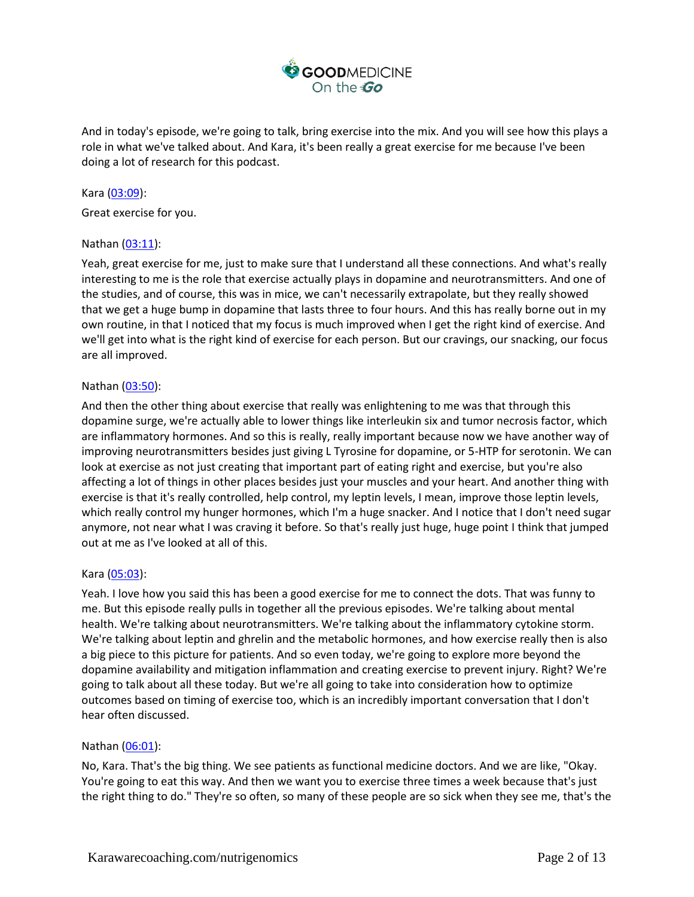

And in today's episode, we're going to talk, bring exercise into the mix. And you will see how this plays a role in what we've talked about. And Kara, it's been really a great exercise for me because I've been doing a lot of research for this podcast.

Kara [\(03:09\)](https://www.rev.com/transcript-editor/Edit?token=1NHORTzOgUXw0uUB1ORRA5AfXilJ_AHGWJuxPdxi0Zgd_rEX9D3U5vok4s4c-GcHZxFL1zSPBToVjZGxmPRe1F9DG18&loadFrom=DocumentDeeplink&ts=189.87): Great exercise for you.

### Nathan [\(03:11\)](https://www.rev.com/transcript-editor/Edit?token=MdbwxmVoKfvc_Snv-SL5LD6KuO0YCCBzksolML70FdgnYyS0p1kiK6mZ_6RlgH8FuVw2ec1TuPYDi6jpU-DNngVjaf0&loadFrom=DocumentDeeplink&ts=191.41):

Yeah, great exercise for me, just to make sure that I understand all these connections. And what's really interesting to me is the role that exercise actually plays in dopamine and neurotransmitters. And one of the studies, and of course, this was in mice, we can't necessarily extrapolate, but they really showed that we get a huge bump in dopamine that lasts three to four hours. And this has really borne out in my own routine, in that I noticed that my focus is much improved when I get the right kind of exercise. And we'll get into what is the right kind of exercise for each person. But our cravings, our snacking, our focus are all improved.

### Nathan [\(03:50\)](https://www.rev.com/transcript-editor/Edit?token=u3G1lF3CNnABD_Qsfpy_SvHc6kG-yjL4Rk6w5jIyY7kO4iNREhKqbl-rXEXhgX6EsTQI-GQev24s77pTwVLjQcHwOgg&loadFrom=DocumentDeeplink&ts=230.64):

And then the other thing about exercise that really was enlightening to me was that through this dopamine surge, we're actually able to lower things like interleukin six and tumor necrosis factor, which are inflammatory hormones. And so this is really, really important because now we have another way of improving neurotransmitters besides just giving L Tyrosine for dopamine, or 5-HTP for serotonin. We can look at exercise as not just creating that important part of eating right and exercise, but you're also affecting a lot of things in other places besides just your muscles and your heart. And another thing with exercise is that it's really controlled, help control, my leptin levels, I mean, improve those leptin levels, which really control my hunger hormones, which I'm a huge snacker. And I notice that I don't need sugar anymore, not near what I was craving it before. So that's really just huge, huge point I think that jumped out at me as I've looked at all of this.

#### Kara [\(05:03\)](https://www.rev.com/transcript-editor/Edit?token=0jeNqHs7mgp2CpRXxNMdF6c-BJRSGmsR2z3Tt9MXq0PTBBb5DDDfsub1Oi96dz1OdqPotUYITZqYIpbZaC9cHRwfgFs&loadFrom=DocumentDeeplink&ts=303.21):

Yeah. I love how you said this has been a good exercise for me to connect the dots. That was funny to me. But this episode really pulls in together all the previous episodes. We're talking about mental health. We're talking about neurotransmitters. We're talking about the inflammatory cytokine storm. We're talking about leptin and ghrelin and the metabolic hormones, and how exercise really then is also a big piece to this picture for patients. And so even today, we're going to explore more beyond the dopamine availability and mitigation inflammation and creating exercise to prevent injury. Right? We're going to talk about all these today. But we're all going to take into consideration how to optimize outcomes based on timing of exercise too, which is an incredibly important conversation that I don't hear often discussed.

#### Nathan [\(06:01\)](https://www.rev.com/transcript-editor/Edit?token=4TYS-_lB0Sswefu8Sy7Lg3T80S1MjJf6hwa25uZSfhIJ6qPzt3ONsog0H_czwjgOA5Xn_Jn3-EtdEBByQojjRY3JzEs&loadFrom=DocumentDeeplink&ts=361.28):

No, Kara. That's the big thing. We see patients as functional medicine doctors. And we are like, "Okay. You're going to eat this way. And then we want you to exercise three times a week because that's just the right thing to do." They're so often, so many of these people are so sick when they see me, that's the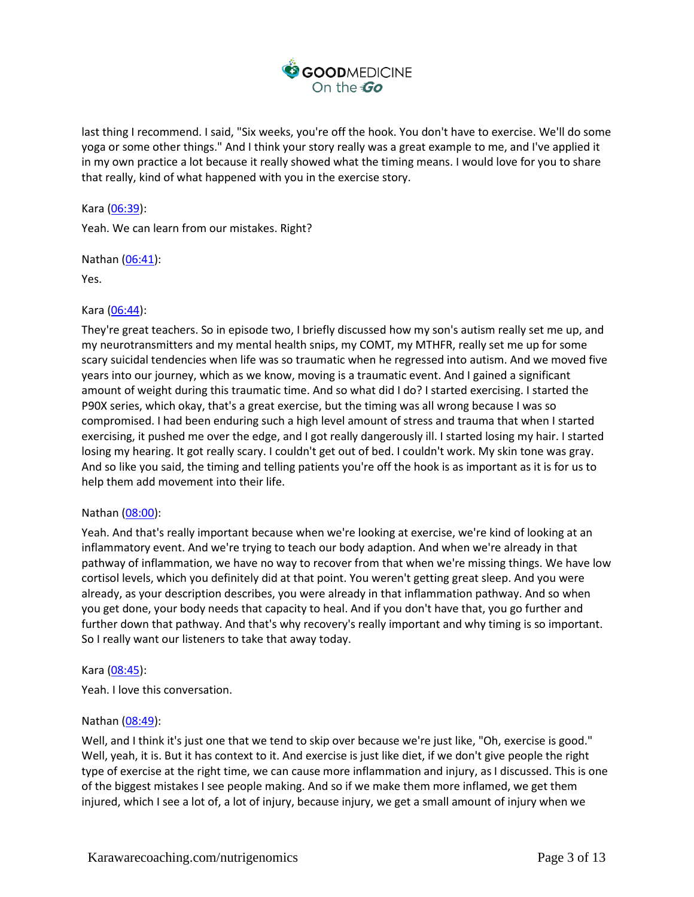

last thing I recommend. I said, "Six weeks, you're off the hook. You don't have to exercise. We'll do some yoga or some other things." And I think your story really was a great example to me, and I've applied it in my own practice a lot because it really showed what the timing means. I would love for you to share that really, kind of what happened with you in the exercise story.

Kara [\(06:39\)](https://www.rev.com/transcript-editor/Edit?token=X-8PyxuMiC-sS8Q50Z0x2GMXbyfavxzx47OhbBrDphrscF3Y86y0oVpbCGkhG__rRVAQ4o-INlfu_tVy-04nH1mV3Yw&loadFrom=DocumentDeeplink&ts=399.23):

Yeah. We can learn from our mistakes. Right?

Nathan [\(06:41\)](https://www.rev.com/transcript-editor/Edit?token=9Z0JANyxK4tGd0OXtd2JnIqcPVEVhVMZONOzwtY6AV2x07eO23YfbVOoF_LHW-7FAtSyOP_ydjF6YgTTt-6Mt3Wg6Do&loadFrom=DocumentDeeplink&ts=401.5):

Yes.

## Kara [\(06:44\)](https://www.rev.com/transcript-editor/Edit?token=1tceU9-AsahcVEFc1CavKsx3Z_1-OR9CRO2ApQse0jocmkO_kF6UB1Lb26EPZZ1_WPg_o8A90BFh-T2LK0gUxEjNKMI&loadFrom=DocumentDeeplink&ts=404.05):

They're great teachers. So in episode two, I briefly discussed how my son's autism really set me up, and my neurotransmitters and my mental health snips, my COMT, my MTHFR, really set me up for some scary suicidal tendencies when life was so traumatic when he regressed into autism. And we moved five years into our journey, which as we know, moving is a traumatic event. And I gained a significant amount of weight during this traumatic time. And so what did I do? I started exercising. I started the P90X series, which okay, that's a great exercise, but the timing was all wrong because I was so compromised. I had been enduring such a high level amount of stress and trauma that when I started exercising, it pushed me over the edge, and I got really dangerously ill. I started losing my hair. I started losing my hearing. It got really scary. I couldn't get out of bed. I couldn't work. My skin tone was gray. And so like you said, the timing and telling patients you're off the hook is as important as it is for us to help them add movement into their life.

## Nathan [\(08:00\)](https://www.rev.com/transcript-editor/Edit?token=stw7PYAd87cKmwFiCS9jlyeF5IbkLvLwh2RgRicS4C_X8-6QSHtVu2cYAiqm0fx4QxSxYAXLwLTKoqyB7RAjkK-Og9U&loadFrom=DocumentDeeplink&ts=480.3):

Yeah. And that's really important because when we're looking at exercise, we're kind of looking at an inflammatory event. And we're trying to teach our body adaption. And when we're already in that pathway of inflammation, we have no way to recover from that when we're missing things. We have low cortisol levels, which you definitely did at that point. You weren't getting great sleep. And you were already, as your description describes, you were already in that inflammation pathway. And so when you get done, your body needs that capacity to heal. And if you don't have that, you go further and further down that pathway. And that's why recovery's really important and why timing is so important. So I really want our listeners to take that away today.

#### Kara [\(08:45\)](https://www.rev.com/transcript-editor/Edit?token=UhMMQV2gQHQIZDjZj0GeN7CNaMg6MflaN8VMAzsHDtwoprKvgKJxBVcGo7PlDYkCcUvaU1XpZgM8DVbs3ZNSB-4yImU&loadFrom=DocumentDeeplink&ts=525.76):

Yeah. I love this conversation.

## Nathan [\(08:49\)](https://www.rev.com/transcript-editor/Edit?token=TiQCW6Vpo2gXzi-xl97cKeQ1-WvPyjC-94H7CGmaWi06sUjEnVyJLbxtQg56LedraeiLBscQZx59JA3XTuDjtWm7M4g&loadFrom=DocumentDeeplink&ts=529.83):

Well, and I think it's just one that we tend to skip over because we're just like, "Oh, exercise is good." Well, yeah, it is. But it has context to it. And exercise is just like diet, if we don't give people the right type of exercise at the right time, we can cause more inflammation and injury, as I discussed. This is one of the biggest mistakes I see people making. And so if we make them more inflamed, we get them injured, which I see a lot of, a lot of injury, because injury, we get a small amount of injury when we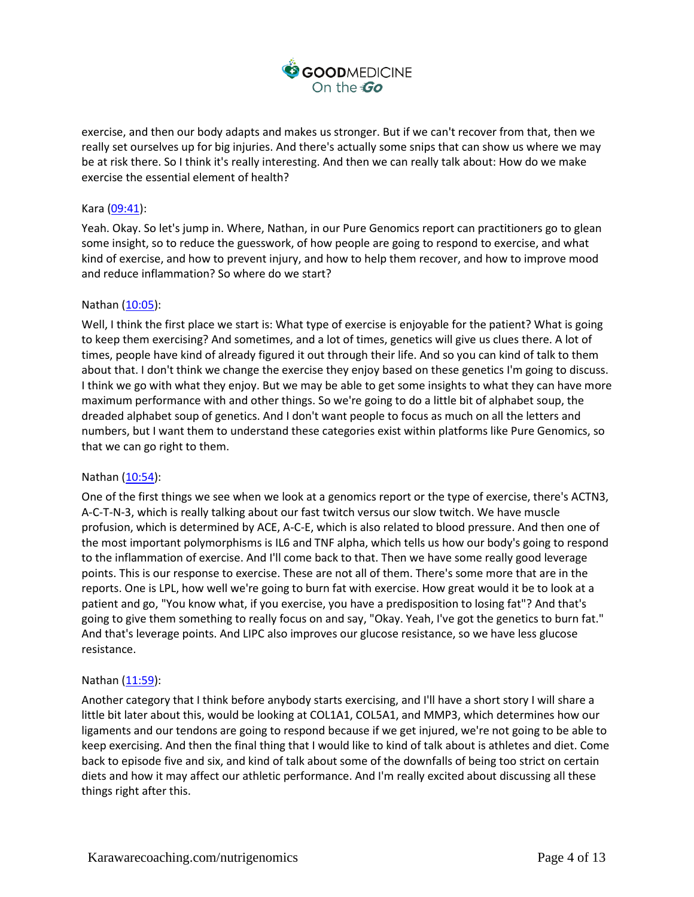

exercise, and then our body adapts and makes us stronger. But if we can't recover from that, then we really set ourselves up for big injuries. And there's actually some snips that can show us where we may be at risk there. So I think it's really interesting. And then we can really talk about: How do we make exercise the essential element of health?

### Kara [\(09:41\)](https://www.rev.com/transcript-editor/Edit?token=C02-jjfnSupMhCyUxNyp9-sdzsLfzO4ZJ4jfa_jONbutKrFToOLwlZwMNeClREZJKtzemHZtiTP42xA3CqPLp_cG-94&loadFrom=DocumentDeeplink&ts=581.31):

Yeah. Okay. So let's jump in. Where, Nathan, in our Pure Genomics report can practitioners go to glean some insight, so to reduce the guesswork, of how people are going to respond to exercise, and what kind of exercise, and how to prevent injury, and how to help them recover, and how to improve mood and reduce inflammation? So where do we start?

### Nathan [\(10:05\)](https://www.rev.com/transcript-editor/Edit?token=-w7CLe_8XH9ScNdq9Ai_3EyLNC4RzUHHyC0aduorIBJbxefHsJvXdtdZ--TIxv_swri8xTIqUHyX_8AX0IhMhqln4zk&loadFrom=DocumentDeeplink&ts=605.84):

Well, I think the first place we start is: What type of exercise is enjoyable for the patient? What is going to keep them exercising? And sometimes, and a lot of times, genetics will give us clues there. A lot of times, people have kind of already figured it out through their life. And so you can kind of talk to them about that. I don't think we change the exercise they enjoy based on these genetics I'm going to discuss. I think we go with what they enjoy. But we may be able to get some insights to what they can have more maximum performance with and other things. So we're going to do a little bit of alphabet soup, the dreaded alphabet soup of genetics. And I don't want people to focus as much on all the letters and numbers, but I want them to understand these categories exist within platforms like Pure Genomics, so that we can go right to them.

#### Nathan [\(10:54\)](https://www.rev.com/transcript-editor/Edit?token=4-0F0nS11daLbaCmD6xHs78y3_OKV9HnPmLNnTapyW58ybTLwkqlez0-dIf5M6YFtOTb3Vi5q9WxDEBGoQ7g8fxIJ0Y&loadFrom=DocumentDeeplink&ts=654.01):

One of the first things we see when we look at a genomics report or the type of exercise, there's ACTN3, A-C-T-N-3, which is really talking about our fast twitch versus our slow twitch. We have muscle profusion, which is determined by ACE, A-C-E, which is also related to blood pressure. And then one of the most important polymorphisms is IL6 and TNF alpha, which tells us how our body's going to respond to the inflammation of exercise. And I'll come back to that. Then we have some really good leverage points. This is our response to exercise. These are not all of them. There's some more that are in the reports. One is LPL, how well we're going to burn fat with exercise. How great would it be to look at a patient and go, "You know what, if you exercise, you have a predisposition to losing fat"? And that's going to give them something to really focus on and say, "Okay. Yeah, I've got the genetics to burn fat." And that's leverage points. And LIPC also improves our glucose resistance, so we have less glucose resistance.

#### Nathan [\(11:59\)](https://www.rev.com/transcript-editor/Edit?token=75VnlekgQa8qszgEoGVEZTxqidYDaSf6QdttEbImynFvI1q7XjQMhTxRWot_YFnZ3Fe2uKt5Sbhm4bd4ht70CdFeYGM&loadFrom=DocumentDeeplink&ts=719.76):

Another category that I think before anybody starts exercising, and I'll have a short story I will share a little bit later about this, would be looking at COL1A1, COL5A1, and MMP3, which determines how our ligaments and our tendons are going to respond because if we get injured, we're not going to be able to keep exercising. And then the final thing that I would like to kind of talk about is athletes and diet. Come back to episode five and six, and kind of talk about some of the downfalls of being too strict on certain diets and how it may affect our athletic performance. And I'm really excited about discussing all these things right after this.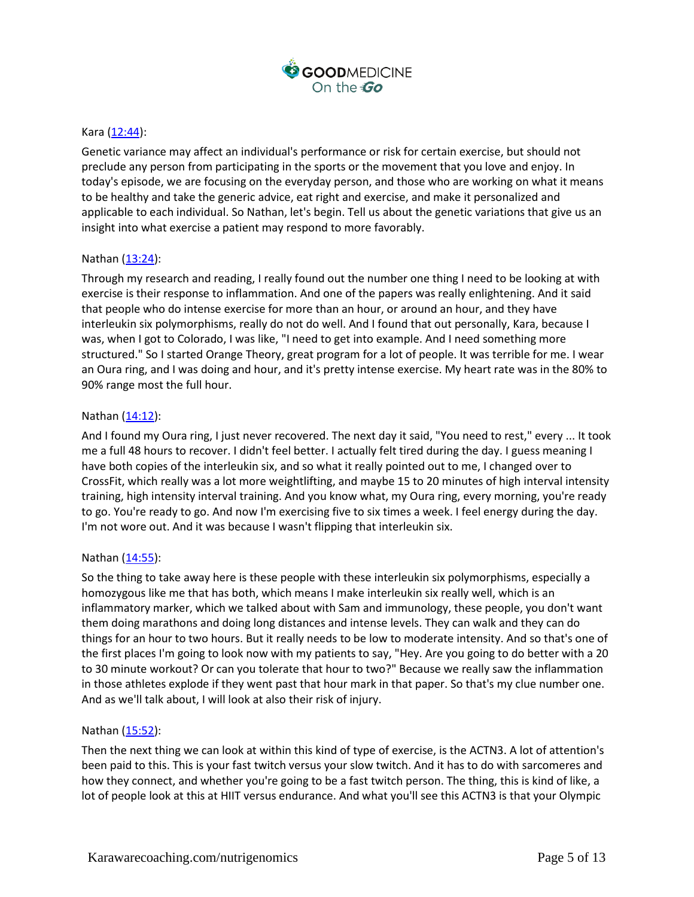

### Kara [\(12:44\)](https://www.rev.com/transcript-editor/Edit?token=9dqPMkYq3tg6nw4wnKGnZBQ3JX7Yk6XjUt8a8wCJehYc_nBm_MjnmT3yrmEyknKLWm3i5Du3NK2Db13R2l3XnX7KiGU&loadFrom=DocumentDeeplink&ts=764.38):

Genetic variance may affect an individual's performance or risk for certain exercise, but should not preclude any person from participating in the sports or the movement that you love and enjoy. In today's episode, we are focusing on the everyday person, and those who are working on what it means to be healthy and take the generic advice, eat right and exercise, and make it personalized and applicable to each individual. So Nathan, let's begin. Tell us about the genetic variations that give us an insight into what exercise a patient may respond to more favorably.

### Nathan [\(13:24\)](https://www.rev.com/transcript-editor/Edit?token=KEE_zCkf01lsncz22TlKgqLuYr6Bv0J2416-HDg5uRUICLkusPqmAAWzFFBOygus8F7tl5W3eKkVfq_Tvtg_A16BV0k&loadFrom=DocumentDeeplink&ts=804.23):

Through my research and reading, I really found out the number one thing I need to be looking at with exercise is their response to inflammation. And one of the papers was really enlightening. And it said that people who do intense exercise for more than an hour, or around an hour, and they have interleukin six polymorphisms, really do not do well. And I found that out personally, Kara, because I was, when I got to Colorado, I was like, "I need to get into example. And I need something more structured." So I started Orange Theory, great program for a lot of people. It was terrible for me. I wear an Oura ring, and I was doing and hour, and it's pretty intense exercise. My heart rate was in the 80% to 90% range most the full hour.

#### Nathan [\(14:12\)](https://www.rev.com/transcript-editor/Edit?token=btKgvn3XkUxIvsDcuzDe8OrjUuba8pKlCvFEyRY76rKk1iStMCV6BK51Q8OGq4nLhjUM1ULwOmps-i70nmAN-fxhdwI&loadFrom=DocumentDeeplink&ts=852.17):

And I found my Oura ring, I just never recovered. The next day it said, "You need to rest," every ... It took me a full 48 hours to recover. I didn't feel better. I actually felt tired during the day. I guess meaning I have both copies of the interleukin six, and so what it really pointed out to me, I changed over to CrossFit, which really was a lot more weightlifting, and maybe 15 to 20 minutes of high interval intensity training, high intensity interval training. And you know what, my Oura ring, every morning, you're ready to go. You're ready to go. And now I'm exercising five to six times a week. I feel energy during the day. I'm not wore out. And it was because I wasn't flipping that interleukin six.

#### Nathan [\(14:55\)](https://www.rev.com/transcript-editor/Edit?token=yBxzKHivVtZcezKLvJEefO4o_Dh0b8FP82DJ2E2YHFTkxmnzueurw0TKiAN5ZxZqIBvtSzJt0lA34jntuvAp1cT-H1I&loadFrom=DocumentDeeplink&ts=895.05):

So the thing to take away here is these people with these interleukin six polymorphisms, especially a homozygous like me that has both, which means I make interleukin six really well, which is an inflammatory marker, which we talked about with Sam and immunology, these people, you don't want them doing marathons and doing long distances and intense levels. They can walk and they can do things for an hour to two hours. But it really needs to be low to moderate intensity. And so that's one of the first places I'm going to look now with my patients to say, "Hey. Are you going to do better with a 20 to 30 minute workout? Or can you tolerate that hour to two?" Because we really saw the inflammation in those athletes explode if they went past that hour mark in that paper. So that's my clue number one. And as we'll talk about, I will look at also their risk of injury.

#### Nathan [\(15:52\)](https://www.rev.com/transcript-editor/Edit?token=wfLpRXLSxXZng2ulno397FVmixDb_OMLpmJoHqcjCdCBdazm0emo_1Bav91igR8EBuwRTw-loLazLomf7WlZ_knaVDA&loadFrom=DocumentDeeplink&ts=952.42):

Then the next thing we can look at within this kind of type of exercise, is the ACTN3. A lot of attention's been paid to this. This is your fast twitch versus your slow twitch. And it has to do with sarcomeres and how they connect, and whether you're going to be a fast twitch person. The thing, this is kind of like, a lot of people look at this at HIIT versus endurance. And what you'll see this ACTN3 is that your Olympic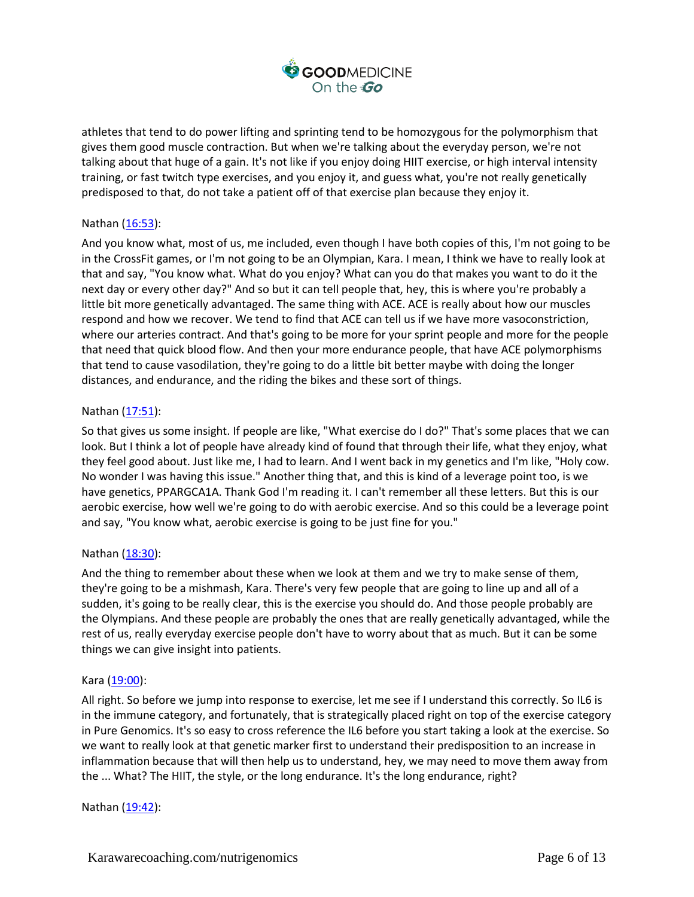

athletes that tend to do power lifting and sprinting tend to be homozygous for the polymorphism that gives them good muscle contraction. But when we're talking about the everyday person, we're not talking about that huge of a gain. It's not like if you enjoy doing HIIT exercise, or high interval intensity training, or fast twitch type exercises, and you enjoy it, and guess what, you're not really genetically predisposed to that, do not take a patient off of that exercise plan because they enjoy it.

# Nathan [\(16:53\)](https://www.rev.com/transcript-editor/Edit?token=IRi5kzJ6z1MVuS9sBzsCl4T9zvqDO2ltAyMVKCUrpN6mx7yFgMGYtlCW5t4sC1inb_eXFsCe55nxSZUpsg5mZlAfsNw&loadFrom=DocumentDeeplink&ts=1013.74):

And you know what, most of us, me included, even though I have both copies of this, I'm not going to be in the CrossFit games, or I'm not going to be an Olympian, Kara. I mean, I think we have to really look at that and say, "You know what. What do you enjoy? What can you do that makes you want to do it the next day or every other day?" And so but it can tell people that, hey, this is where you're probably a little bit more genetically advantaged. The same thing with ACE. ACE is really about how our muscles respond and how we recover. We tend to find that ACE can tell us if we have more vasoconstriction, where our arteries contract. And that's going to be more for your sprint people and more for the people that need that quick blood flow. And then your more endurance people, that have ACE polymorphisms that tend to cause vasodilation, they're going to do a little bit better maybe with doing the longer distances, and endurance, and the riding the bikes and these sort of things.

## Nathan [\(17:51\)](https://www.rev.com/transcript-editor/Edit?token=MkLhwCf154Ui2BJDe2TqOjN_AdpW1N75GMR15yE7Ls4BdD3btISJkfwYOjtSSNa9sYOWGy0GxAGcqrxOUg6smq36TxY&loadFrom=DocumentDeeplink&ts=1071.16):

So that gives us some insight. If people are like, "What exercise do I do?" That's some places that we can look. But I think a lot of people have already kind of found that through their life, what they enjoy, what they feel good about. Just like me, I had to learn. And I went back in my genetics and I'm like, "Holy cow. No wonder I was having this issue." Another thing that, and this is kind of a leverage point too, is we have genetics, PPARGCA1A. Thank God I'm reading it. I can't remember all these letters. But this is our aerobic exercise, how well we're going to do with aerobic exercise. And so this could be a leverage point and say, "You know what, aerobic exercise is going to be just fine for you."

#### Nathan [\(18:30\)](https://www.rev.com/transcript-editor/Edit?token=zRiXACoVSQoVS7OaiU0I15qp9PGHsyRJ4R1yj2insOEnX541iF1HICZz6QU1hn1p2PfUPD2hvZZvhUTy53fViQZmGJ8&loadFrom=DocumentDeeplink&ts=1110.88):

And the thing to remember about these when we look at them and we try to make sense of them, they're going to be a mishmash, Kara. There's very few people that are going to line up and all of a sudden, it's going to be really clear, this is the exercise you should do. And those people probably are the Olympians. And these people are probably the ones that are really genetically advantaged, while the rest of us, really everyday exercise people don't have to worry about that as much. But it can be some things we can give insight into patients.

#### Kara [\(19:00\)](https://www.rev.com/transcript-editor/Edit?token=lrAeSe2mMBTbzdI_xleb8KocFXXShIsFVJz18Gm55fDdbv3kR5toET3SdPaG3xlsuk28Y2VBNTt_1yKcN_M_QWGzYaY&loadFrom=DocumentDeeplink&ts=1140.1):

All right. So before we jump into response to exercise, let me see if I understand this correctly. So IL6 is in the immune category, and fortunately, that is strategically placed right on top of the exercise category in Pure Genomics. It's so easy to cross reference the IL6 before you start taking a look at the exercise. So we want to really look at that genetic marker first to understand their predisposition to an increase in inflammation because that will then help us to understand, hey, we may need to move them away from the ... What? The HIIT, the style, or the long endurance. It's the long endurance, right?

Nathan [\(19:42\)](https://www.rev.com/transcript-editor/Edit?token=-xkCQJtLScGulD4A0JmrWM2opWp04IcVlyHb9ODpzUdWJmxTMZXd-I2V-smbpM-eJK0KmgjPo2RpXIyDoTSB_eOImr0&loadFrom=DocumentDeeplink&ts=1182.23):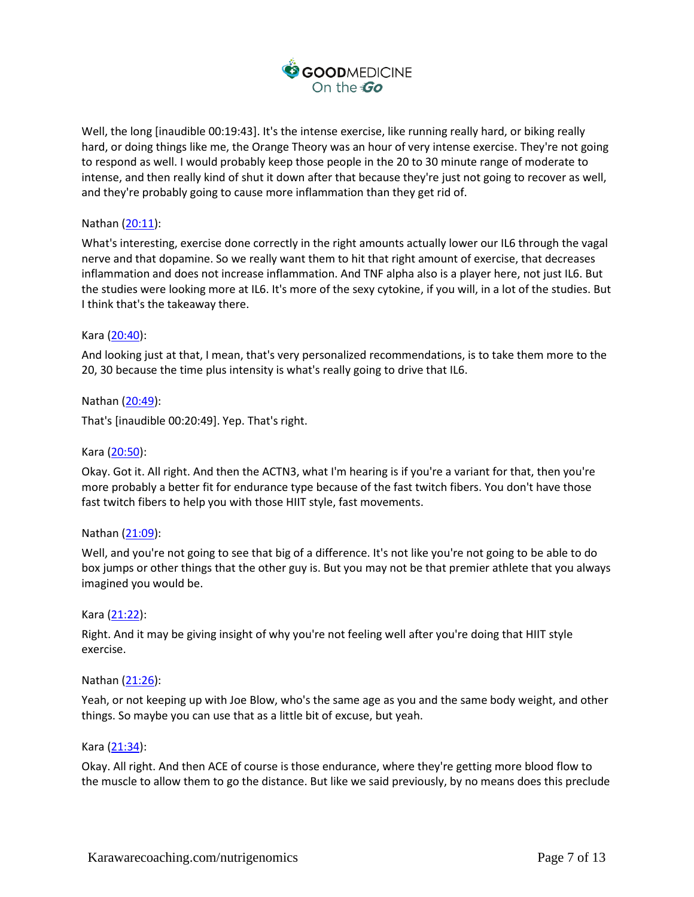

Well, the long [inaudible 00:19:43]. It's the intense exercise, like running really hard, or biking really hard, or doing things like me, the Orange Theory was an hour of very intense exercise. They're not going to respond as well. I would probably keep those people in the 20 to 30 minute range of moderate to intense, and then really kind of shut it down after that because they're just not going to recover as well, and they're probably going to cause more inflammation than they get rid of.

# Nathan [\(20:11\)](https://www.rev.com/transcript-editor/Edit?token=gFHc_g3yyagiA9hmzPKL0DCYkpz_WZ7xxUxkE2f_4MYWozIlG39eaZOfn9F_ok4Y0azlXTNvSRmsLGkniJh8q1wRxpU&loadFrom=DocumentDeeplink&ts=1211.07):

What's interesting, exercise done correctly in the right amounts actually lower our IL6 through the vagal nerve and that dopamine. So we really want them to hit that right amount of exercise, that decreases inflammation and does not increase inflammation. And TNF alpha also is a player here, not just IL6. But the studies were looking more at IL6. It's more of the sexy cytokine, if you will, in a lot of the studies. But I think that's the takeaway there.

### Kara [\(20:40\)](https://www.rev.com/transcript-editor/Edit?token=mJIdzLRdbTlA71JFc3QlMxCK9JDY-HLXQOqOG2MYRD2CDt8qbMfkKdjPfwmmmOjZnr5DdiYnfxiCf_Viesos5ln0RxY&loadFrom=DocumentDeeplink&ts=1240.63):

And looking just at that, I mean, that's very personalized recommendations, is to take them more to the 20, 30 because the time plus intensity is what's really going to drive that IL6.

Nathan [\(20:49\)](https://www.rev.com/transcript-editor/Edit?token=Q4eBzgBmrmLWLPKmbizNnKBxlu9CwZlz-jkUkrqinXrrjQUMmgfbFy1mboC33Ljpze1MU8Q4eTJkdqRAZzDnGVieonQ&loadFrom=DocumentDeeplink&ts=1249.03): That's [inaudible 00:20:49]. Yep. That's right.

## Kara [\(20:50\)](https://www.rev.com/transcript-editor/Edit?token=ADS2vx344xIIPEIoXksz4i36KrXuSuFPvy_L0ONv7JnQ73OLYmI_tY_cLmtIivz00_buKTKZj62ZAvFnv5iHn6mawTg&loadFrom=DocumentDeeplink&ts=1250.42):

Okay. Got it. All right. And then the ACTN3, what I'm hearing is if you're a variant for that, then you're more probably a better fit for endurance type because of the fast twitch fibers. You don't have those fast twitch fibers to help you with those HIIT style, fast movements.

#### Nathan [\(21:09\)](https://www.rev.com/transcript-editor/Edit?token=4i_js1tFTkGk7Z87oyTFu2KnQoRCjMvBT3KidetkpqWNvUySx805OP0PMbECOYZOyLGsyDXGA5xnR4f-TJzocHvO99o&loadFrom=DocumentDeeplink&ts=1269.08):

Well, and you're not going to see that big of a difference. It's not like you're not going to be able to do box jumps or other things that the other guy is. But you may not be that premier athlete that you always imagined you would be.

#### Kara [\(21:22\)](https://www.rev.com/transcript-editor/Edit?token=zpFdXKJLx9X81F3esE76axDgm8pCsjlCjzWcuPY3AqOOgwkgjqEg2E4D5pfumG0Y1HtavFKqHKGLVrYkS0Jn4Dvm4pw&loadFrom=DocumentDeeplink&ts=1282.41):

Right. And it may be giving insight of why you're not feeling well after you're doing that HIIT style exercise.

#### Nathan [\(21:26\)](https://www.rev.com/transcript-editor/Edit?token=IENtYva1v7qjucwGwxcBHfrB-ySnYBqF1rA7WhtA-s9hn599MWmVQ9jovmCXUwAwg0WKHfiAY7lFZG_bUMrXJbtQnTY&loadFrom=DocumentDeeplink&ts=1286.68):

Yeah, or not keeping up with Joe Blow, who's the same age as you and the same body weight, and other things. So maybe you can use that as a little bit of excuse, but yeah.

#### Kara [\(21:34\)](https://www.rev.com/transcript-editor/Edit?token=CahcoLJsZAsnh7XTR2hP_pJ8DWc50mL_KIGYHb5tVtwH7BvLc7LShOnt779MPv_jv9-l2D3sms6AkfgBqnCuoWHqYXc&loadFrom=DocumentDeeplink&ts=1294.93):

Okay. All right. And then ACE of course is those endurance, where they're getting more blood flow to the muscle to allow them to go the distance. But like we said previously, by no means does this preclude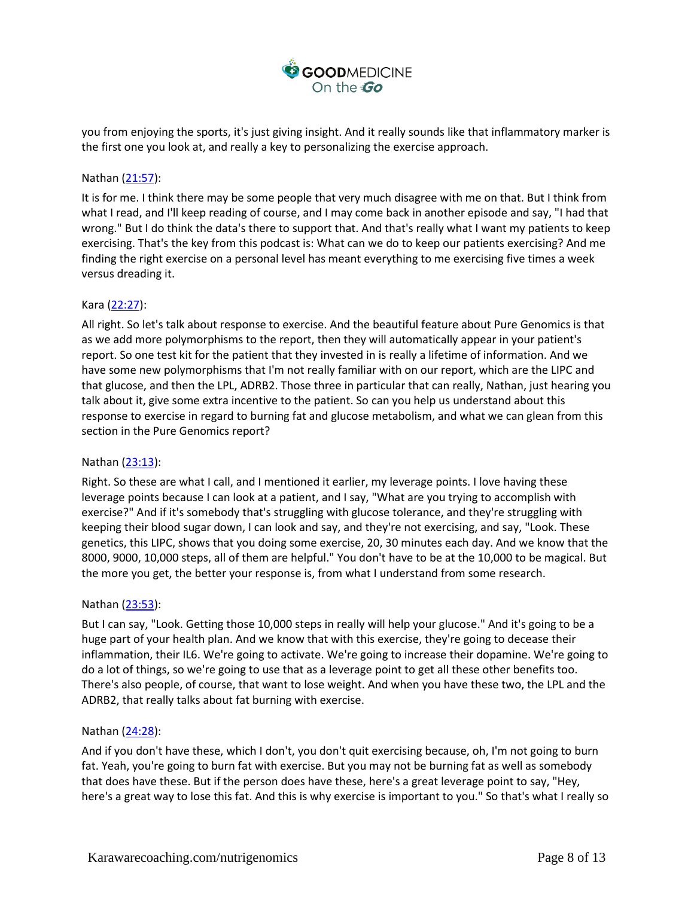

you from enjoying the sports, it's just giving insight. And it really sounds like that inflammatory marker is the first one you look at, and really a key to personalizing the exercise approach.

# Nathan [\(21:57\)](https://www.rev.com/transcript-editor/Edit?token=ztHr5dwpXiosRHNIovlFoLGhgpRiTDbqqipqo-8EVFk_goUl6ZHTuz0FLDCV-WAVUDO2mcaj8Ia2vDVX2H43zmOCKNo&loadFrom=DocumentDeeplink&ts=1317.62):

It is for me. I think there may be some people that very much disagree with me on that. But I think from what I read, and I'll keep reading of course, and I may come back in another episode and say, "I had that wrong." But I do think the data's there to support that. And that's really what I want my patients to keep exercising. That's the key from this podcast is: What can we do to keep our patients exercising? And me finding the right exercise on a personal level has meant everything to me exercising five times a week versus dreading it.

# Kara [\(22:27\)](https://www.rev.com/transcript-editor/Edit?token=MFGkgulFVvMCx-7PRD40dEkWWbkiOPoHSEUTLhRj_i79fD3nmaT-ZL1wCstf3Ujj5n6rQVzZtcGNaZgYCfnmklOe-Y8&loadFrom=DocumentDeeplink&ts=1347.24):

All right. So let's talk about response to exercise. And the beautiful feature about Pure Genomics is that as we add more polymorphisms to the report, then they will automatically appear in your patient's report. So one test kit for the patient that they invested in is really a lifetime of information. And we have some new polymorphisms that I'm not really familiar with on our report, which are the LIPC and that glucose, and then the LPL, ADRB2. Those three in particular that can really, Nathan, just hearing you talk about it, give some extra incentive to the patient. So can you help us understand about this response to exercise in regard to burning fat and glucose metabolism, and what we can glean from this section in the Pure Genomics report?

## Nathan [\(23:13\)](https://www.rev.com/transcript-editor/Edit?token=PT5HZqxK7fh7Ij5Hrkfd9kIeai5WPCs5XapTUftOu0BXedGnIPLaiIyIy2V_XOUP7zAp18aYEgf6ziTFSK8vwD9FJiU&loadFrom=DocumentDeeplink&ts=1393.52):

Right. So these are what I call, and I mentioned it earlier, my leverage points. I love having these leverage points because I can look at a patient, and I say, "What are you trying to accomplish with exercise?" And if it's somebody that's struggling with glucose tolerance, and they're struggling with keeping their blood sugar down, I can look and say, and they're not exercising, and say, "Look. These genetics, this LIPC, shows that you doing some exercise, 20, 30 minutes each day. And we know that the 8000, 9000, 10,000 steps, all of them are helpful." You don't have to be at the 10,000 to be magical. But the more you get, the better your response is, from what I understand from some research.

## Nathan [\(23:53\)](https://www.rev.com/transcript-editor/Edit?token=Q_gg0d0DP-MslZVI3laLHNoqZRWMavNihgonPXVpNqTyR6J5ktyRlS11bV1VD0ffPX9C_Jin2so4yjZ2UUaUldOL3iA&loadFrom=DocumentDeeplink&ts=1433.12):

But I can say, "Look. Getting those 10,000 steps in really will help your glucose." And it's going to be a huge part of your health plan. And we know that with this exercise, they're going to decease their inflammation, their IL6. We're going to activate. We're going to increase their dopamine. We're going to do a lot of things, so we're going to use that as a leverage point to get all these other benefits too. There's also people, of course, that want to lose weight. And when you have these two, the LPL and the ADRB2, that really talks about fat burning with exercise.

#### Nathan [\(24:28\)](https://www.rev.com/transcript-editor/Edit?token=L3CXnFIH8cF5SUFirZ5i3knoFGGnMn3Y-ThpdbgmnMec_EV7K1EZ5ruqMX0yYYjJQAe_nBW3TXk0JcZjUT6udPcCiNs&loadFrom=DocumentDeeplink&ts=1468.65):

And if you don't have these, which I don't, you don't quit exercising because, oh, I'm not going to burn fat. Yeah, you're going to burn fat with exercise. But you may not be burning fat as well as somebody that does have these. But if the person does have these, here's a great leverage point to say, "Hey, here's a great way to lose this fat. And this is why exercise is important to you." So that's what I really so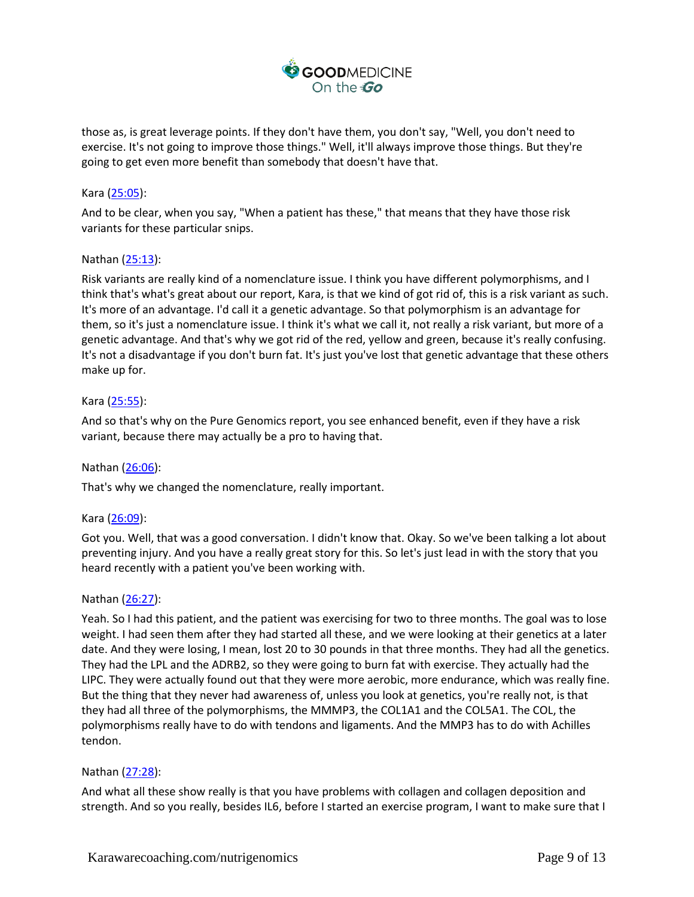

those as, is great leverage points. If they don't have them, you don't say, "Well, you don't need to exercise. It's not going to improve those things." Well, it'll always improve those things. But they're going to get even more benefit than somebody that doesn't have that.

# Kara [\(25:05\)](https://www.rev.com/transcript-editor/Edit?token=DLHp5n4gnobClCIwQ_X7XNKyJh-ttKVRusV35842GE0qbnQuoYXmT8sjn3MUj6JR2zE63mhVjBdxdLlfRc8uccj6mn4&loadFrom=DocumentDeeplink&ts=1505.52):

And to be clear, when you say, "When a patient has these," that means that they have those risk variants for these particular snips.

## Nathan [\(25:13\)](https://www.rev.com/transcript-editor/Edit?token=5io0zGqyzYz3zmI9f-dYsmj6kh7m4RNJvxS-VoGwXDfTXzCLmYTBjSash6kvrgULPMcYlJQ9j_hl-X4PiO15omb8YWU&loadFrom=DocumentDeeplink&ts=1513.58):

Risk variants are really kind of a nomenclature issue. I think you have different polymorphisms, and I think that's what's great about our report, Kara, is that we kind of got rid of, this is a risk variant as such. It's more of an advantage. I'd call it a genetic advantage. So that polymorphism is an advantage for them, so it's just a nomenclature issue. I think it's what we call it, not really a risk variant, but more of a genetic advantage. And that's why we got rid of the red, yellow and green, because it's really confusing. It's not a disadvantage if you don't burn fat. It's just you've lost that genetic advantage that these others make up for.

### Kara [\(25:55\)](https://www.rev.com/transcript-editor/Edit?token=BmmCr6LM2n7J5pW0QI6iuaGkbOCeAXw3dUvUpOnEU5FwUPSRmVhECfOnBCZz_-i7jqynKHT4S4c4HzpvvDj9SmhVCxA&loadFrom=DocumentDeeplink&ts=1555.05):

And so that's why on the Pure Genomics report, you see enhanced benefit, even if they have a risk variant, because there may actually be a pro to having that.

## Nathan [\(26:06\)](https://www.rev.com/transcript-editor/Edit?token=w4AZ__rGXXaM9Z58JduPDFJ6fwjBYrz5FWsNJOo8JO9ts67H5WipeZTs_pjxuanD8PBAdtOZmpzvdXSY_vXrgG3xyf0&loadFrom=DocumentDeeplink&ts=1566.62):

That's why we changed the nomenclature, really important.

#### Kara [\(26:09\)](https://www.rev.com/transcript-editor/Edit?token=yS6sLdSk_lI7WX21Moc-yWna9h_9TWBO8jk8b2t0HfHFbTGeqfgos270iLCOiKs32PWEvNdRoY8J0DqltOqSiYgOnjY&loadFrom=DocumentDeeplink&ts=1569.86):

Got you. Well, that was a good conversation. I didn't know that. Okay. So we've been talking a lot about preventing injury. And you have a really great story for this. So let's just lead in with the story that you heard recently with a patient you've been working with.

#### Nathan [\(26:27\)](https://www.rev.com/transcript-editor/Edit?token=tMn9nFkYpF4-IcJcBoP4HAQ9rb93FUf8ELBzIc-Y_od94wjXDMgwZvuHmf7N1ySGBGfM45xbn25MaJRkxjyKuIymAfM&loadFrom=DocumentDeeplink&ts=1587.66):

Yeah. So I had this patient, and the patient was exercising for two to three months. The goal was to lose weight. I had seen them after they had started all these, and we were looking at their genetics at a later date. And they were losing, I mean, lost 20 to 30 pounds in that three months. They had all the genetics. They had the LPL and the ADRB2, so they were going to burn fat with exercise. They actually had the LIPC. They were actually found out that they were more aerobic, more endurance, which was really fine. But the thing that they never had awareness of, unless you look at genetics, you're really not, is that they had all three of the polymorphisms, the MMMP3, the COL1A1 and the COL5A1. The COL, the polymorphisms really have to do with tendons and ligaments. And the MMP3 has to do with Achilles tendon.

#### Nathan [\(27:28\)](https://www.rev.com/transcript-editor/Edit?token=tYSCzF24GQSX3yMmQE2T-CnkVm5FFkdOBotgSjQvv10fbBOG6WaJ_yfTqjtZKRpcse-JvYABI9qwAMqvWFVnqlvi_aE&loadFrom=DocumentDeeplink&ts=1648.74):

And what all these show really is that you have problems with collagen and collagen deposition and strength. And so you really, besides IL6, before I started an exercise program, I want to make sure that I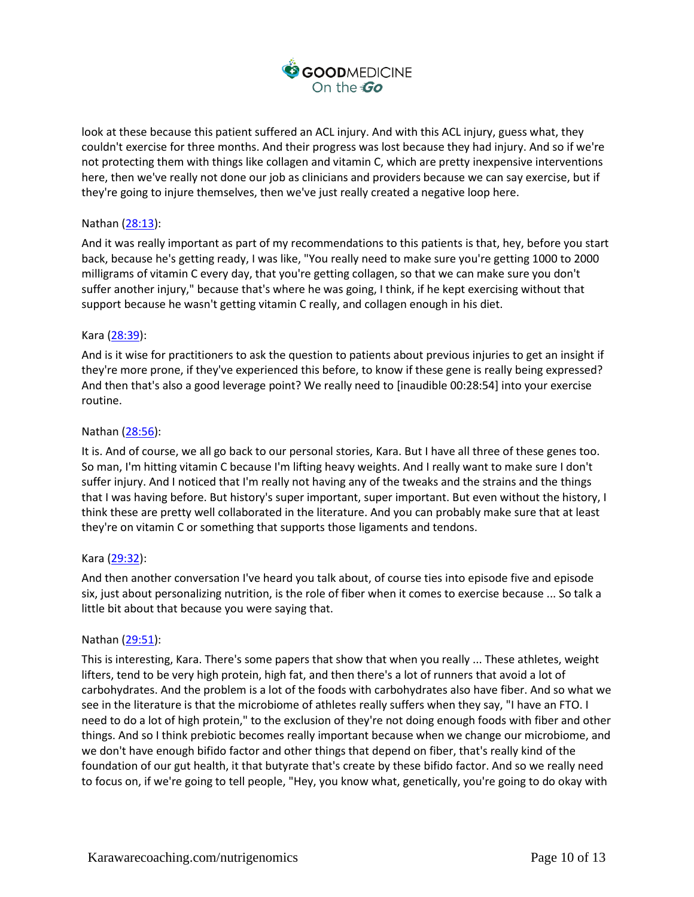

look at these because this patient suffered an ACL injury. And with this ACL injury, guess what, they couldn't exercise for three months. And their progress was lost because they had injury. And so if we're not protecting them with things like collagen and vitamin C, which are pretty inexpensive interventions here, then we've really not done our job as clinicians and providers because we can say exercise, but if they're going to injure themselves, then we've just really created a negative loop here.

# Nathan [\(28:13\)](https://www.rev.com/transcript-editor/Edit?token=ijREsfkmXEr76tl_92insEN4Sgek1htWgX6b_HYPJ3xMKf8LGCKv1xB1YHvmZZDjXU_IpBLTsw5zadgKLEzoxmUDHqk&loadFrom=DocumentDeeplink&ts=1693.71):

And it was really important as part of my recommendations to this patients is that, hey, before you start back, because he's getting ready, I was like, "You really need to make sure you're getting 1000 to 2000 milligrams of vitamin C every day, that you're getting collagen, so that we can make sure you don't suffer another injury," because that's where he was going, I think, if he kept exercising without that support because he wasn't getting vitamin C really, and collagen enough in his diet.

## Kara [\(28:39\)](https://www.rev.com/transcript-editor/Edit?token=bCIcfZe_uaVFYghYhRb7AgkqqnSncBsbzoZNlOQCUm_DloLZijUmijUb7ihi7yl_guUY_DVBCq-U1fP-JlffQwqGKwQ&loadFrom=DocumentDeeplink&ts=1719.46):

And is it wise for practitioners to ask the question to patients about previous injuries to get an insight if they're more prone, if they've experienced this before, to know if these gene is really being expressed? And then that's also a good leverage point? We really need to [inaudible 00:28:54] into your exercise routine.

### Nathan [\(28:56\)](https://www.rev.com/transcript-editor/Edit?token=JEu4VGDywX3R8DP8mfEHRTGq_s60Nkt_xYn07RsejG7WioBTdvHtaCM1wDULaEuPyUsIplamRuzls7CuBStZU6cfB8g&loadFrom=DocumentDeeplink&ts=1736.91):

It is. And of course, we all go back to our personal stories, Kara. But I have all three of these genes too. So man, I'm hitting vitamin C because I'm lifting heavy weights. And I really want to make sure I don't suffer injury. And I noticed that I'm really not having any of the tweaks and the strains and the things that I was having before. But history's super important, super important. But even without the history, I think these are pretty well collaborated in the literature. And you can probably make sure that at least they're on vitamin C or something that supports those ligaments and tendons.

## Kara [\(29:32\)](https://www.rev.com/transcript-editor/Edit?token=ERyfArxFqRa9qYsT6g1EUYNpt9jeLw7Q6z8OBHhaZ02e-XI9uKxXMaT4zNGCeBKCZc52J38JfAQv0mdh0b2zcjTSuMQ&loadFrom=DocumentDeeplink&ts=1772):

And then another conversation I've heard you talk about, of course ties into episode five and episode six, just about personalizing nutrition, is the role of fiber when it comes to exercise because ... So talk a little bit about that because you were saying that.

#### Nathan [\(29:51\)](https://www.rev.com/transcript-editor/Edit?token=w840lYR78_TfPXwbBITzv7CEla8QtoCd_dYi5dYzPpIxaN2q236IiGdBoBIES9ek5lRQw9Ps4LiD1HBo1zd1ZD9R0w4&loadFrom=DocumentDeeplink&ts=1791.97):

This is interesting, Kara. There's some papers that show that when you really ... These athletes, weight lifters, tend to be very high protein, high fat, and then there's a lot of runners that avoid a lot of carbohydrates. And the problem is a lot of the foods with carbohydrates also have fiber. And so what we see in the literature is that the microbiome of athletes really suffers when they say, "I have an FTO. I need to do a lot of high protein," to the exclusion of they're not doing enough foods with fiber and other things. And so I think prebiotic becomes really important because when we change our microbiome, and we don't have enough bifido factor and other things that depend on fiber, that's really kind of the foundation of our gut health, it that butyrate that's create by these bifido factor. And so we really need to focus on, if we're going to tell people, "Hey, you know what, genetically, you're going to do okay with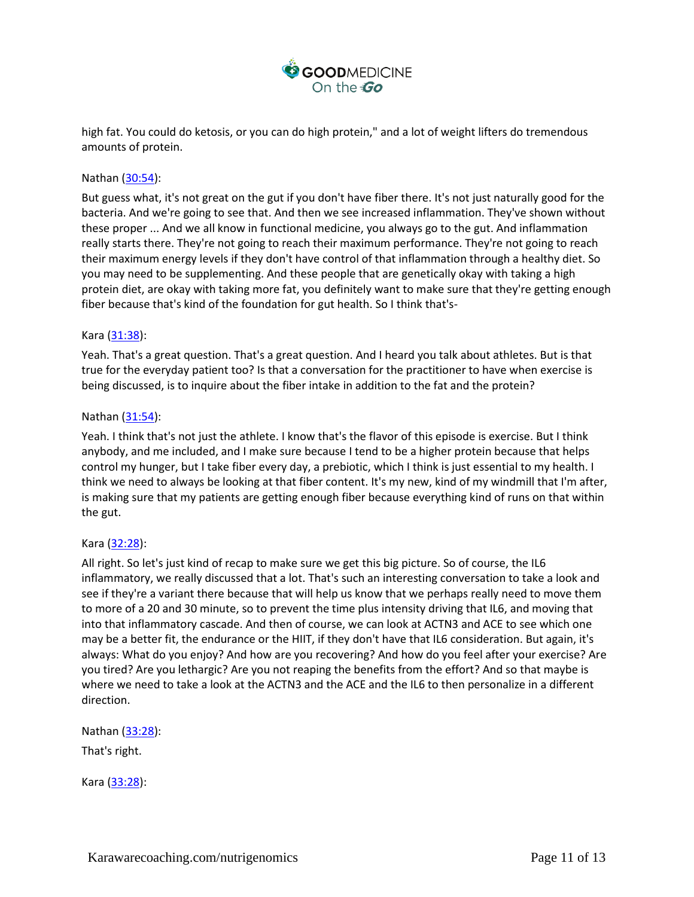

high fat. You could do ketosis, or you can do high protein," and a lot of weight lifters do tremendous amounts of protein.

# Nathan [\(30:54\)](https://www.rev.com/transcript-editor/Edit?token=9QrpsmnUDZ7QIns7Oalk7AVgAdXlfj9PSqxdAQ-vknhTVA4-8yY5ztyB3OuKSBnTp3KWqI9347p-ccF-c0nR1-KrcWg&loadFrom=DocumentDeeplink&ts=1854.69):

But guess what, it's not great on the gut if you don't have fiber there. It's not just naturally good for the bacteria. And we're going to see that. And then we see increased inflammation. They've shown without these proper ... And we all know in functional medicine, you always go to the gut. And inflammation really starts there. They're not going to reach their maximum performance. They're not going to reach their maximum energy levels if they don't have control of that inflammation through a healthy diet. So you may need to be supplementing. And these people that are genetically okay with taking a high protein diet, are okay with taking more fat, you definitely want to make sure that they're getting enough fiber because that's kind of the foundation for gut health. So I think that's-

### Kara [\(31:38\)](https://www.rev.com/transcript-editor/Edit?token=wTRhIbWdLmc_WtF1b7_D3Wy6bkPaC2mEVK5zxfUERj1UyxyP7vohX4eFb-Akt5Cvlh9EQIr6zzRp8-klaunI5liBQ78&loadFrom=DocumentDeeplink&ts=1898.89):

Yeah. That's a great question. That's a great question. And I heard you talk about athletes. But is that true for the everyday patient too? Is that a conversation for the practitioner to have when exercise is being discussed, is to inquire about the fiber intake in addition to the fat and the protein?

### Nathan [\(31:54\)](https://www.rev.com/transcript-editor/Edit?token=NZv4puZCfLPvOKb165PCYctCoYcSzKhjZ6-jcfzY26EX97FvPTE7cAEm2zAILbC6vxvORPjjZqPC5NntPvUFbAUvIWg&loadFrom=DocumentDeeplink&ts=1914.72):

Yeah. I think that's not just the athlete. I know that's the flavor of this episode is exercise. But I think anybody, and me included, and I make sure because I tend to be a higher protein because that helps control my hunger, but I take fiber every day, a prebiotic, which I think is just essential to my health. I think we need to always be looking at that fiber content. It's my new, kind of my windmill that I'm after, is making sure that my patients are getting enough fiber because everything kind of runs on that within the gut.

## Kara [\(32:28\)](https://www.rev.com/transcript-editor/Edit?token=UPo768dYfsJM0OaFAYyYrwPnqFe9YUQ1bqjRrWB_wHO03golCe8LsI91nAy1MWudQ0i6LqyCZ69e3PXml13W-A-qJwU&loadFrom=DocumentDeeplink&ts=1948.94):

All right. So let's just kind of recap to make sure we get this big picture. So of course, the IL6 inflammatory, we really discussed that a lot. That's such an interesting conversation to take a look and see if they're a variant there because that will help us know that we perhaps really need to move them to more of a 20 and 30 minute, so to prevent the time plus intensity driving that IL6, and moving that into that inflammatory cascade. And then of course, we can look at ACTN3 and ACE to see which one may be a better fit, the endurance or the HIIT, if they don't have that IL6 consideration. But again, it's always: What do you enjoy? And how are you recovering? And how do you feel after your exercise? Are you tired? Are you lethargic? Are you not reaping the benefits from the effort? And so that maybe is where we need to take a look at the ACTN3 and the ACE and the IL6 to then personalize in a different direction.

Nathan [\(33:28\)](https://www.rev.com/transcript-editor/Edit?token=UBHFzQvtYrbyf-KMSkqBe70kThcq4uF0d_1hab9bsaO6D8z71zUdogoXz0-Rxo27C8pKzKic5sC0fHwqR1ZnrOxPVDk&loadFrom=DocumentDeeplink&ts=2008.61):

That's right.

Kara [\(33:28\)](https://www.rev.com/transcript-editor/Edit?token=CdN6RkQ1nX-w_cYB01iNd_PcbtFdtdz2Mma-1mbtO5aKA1R_9isL18XGJMlXFo9LTjL67JAa_hCvsagacpUXfhROylE&loadFrom=DocumentDeeplink&ts=2008.68):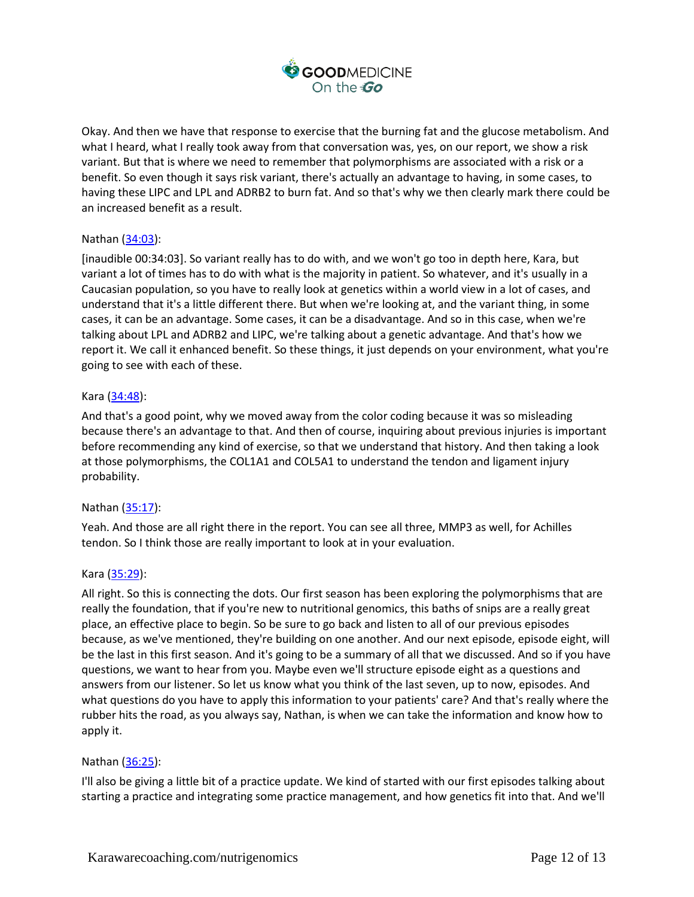

Okay. And then we have that response to exercise that the burning fat and the glucose metabolism. And what I heard, what I really took away from that conversation was, yes, on our report, we show a risk variant. But that is where we need to remember that polymorphisms are associated with a risk or a benefit. So even though it says risk variant, there's actually an advantage to having, in some cases, to having these LIPC and LPL and ADRB2 to burn fat. And so that's why we then clearly mark there could be an increased benefit as a result.

# Nathan [\(34:03\)](https://www.rev.com/transcript-editor/Edit?token=blUryrELMo8xIYAbJV1Q1085K4RxzZP_pier5pu88mCqBfJAx5Ac97tnFyM4MZhJ_v3YqElLW_3XJ_Kqe8qEQChjb6Y&loadFrom=DocumentDeeplink&ts=2043):

[inaudible 00:34:03]. So variant really has to do with, and we won't go too in depth here, Kara, but variant a lot of times has to do with what is the majority in patient. So whatever, and it's usually in a Caucasian population, so you have to really look at genetics within a world view in a lot of cases, and understand that it's a little different there. But when we're looking at, and the variant thing, in some cases, it can be an advantage. Some cases, it can be a disadvantage. And so in this case, when we're talking about LPL and ADRB2 and LIPC, we're talking about a genetic advantage. And that's how we report it. We call it enhanced benefit. So these things, it just depends on your environment, what you're going to see with each of these.

## Kara [\(34:48\)](https://www.rev.com/transcript-editor/Edit?token=xVipfVT-mVm6LPaKDXvaPUnTBU2YIXxct3eGx_nXv0WVGnyP62_CdXOM_SNZOkNYLcegwV-za1Q9yB8Nmw46axriNMw&loadFrom=DocumentDeeplink&ts=2088.18):

And that's a good point, why we moved away from the color coding because it was so misleading because there's an advantage to that. And then of course, inquiring about previous injuries is important before recommending any kind of exercise, so that we understand that history. And then taking a look at those polymorphisms, the COL1A1 and COL5A1 to understand the tendon and ligament injury probability.

## Nathan [\(35:17\)](https://www.rev.com/transcript-editor/Edit?token=ApAcb4V-6d7yngA8Q4IQdK46Ba-vrbn7qXs3qZ7OoGF4mZKeKedHc0D1mh4AmewM-irPCam72ML-FS40ellf6DH4eOw&loadFrom=DocumentDeeplink&ts=2117.29):

Yeah. And those are all right there in the report. You can see all three, MMP3 as well, for Achilles tendon. So I think those are really important to look at in your evaluation.

#### Kara [\(35:29\)](https://www.rev.com/transcript-editor/Edit?token=7FT0_JRTgtjQDcIFn336kwW3_t-G5M1vTdu6ebfN_wAT4nNHNUHmg6T6VdPWm-E-LbXPn9T2Aqf4o5sMe4t0ce30-O8&loadFrom=DocumentDeeplink&ts=2129.97):

All right. So this is connecting the dots. Our first season has been exploring the polymorphisms that are really the foundation, that if you're new to nutritional genomics, this baths of snips are a really great place, an effective place to begin. So be sure to go back and listen to all of our previous episodes because, as we've mentioned, they're building on one another. And our next episode, episode eight, will be the last in this first season. And it's going to be a summary of all that we discussed. And so if you have questions, we want to hear from you. Maybe even we'll structure episode eight as a questions and answers from our listener. So let us know what you think of the last seven, up to now, episodes. And what questions do you have to apply this information to your patients' care? And that's really where the rubber hits the road, as you always say, Nathan, is when we can take the information and know how to apply it.

## Nathan [\(36:25\)](https://www.rev.com/transcript-editor/Edit?token=mY_Qj1D7vSgCLTN5xMQTDOWTCzqjD0G8ehfomF5We275WNa4QTWCgqdSvyXqXxEtiH7hXNrV9fghBLN2eg-tiKc9fDk&loadFrom=DocumentDeeplink&ts=2185.96):

I'll also be giving a little bit of a practice update. We kind of started with our first episodes talking about starting a practice and integrating some practice management, and how genetics fit into that. And we'll